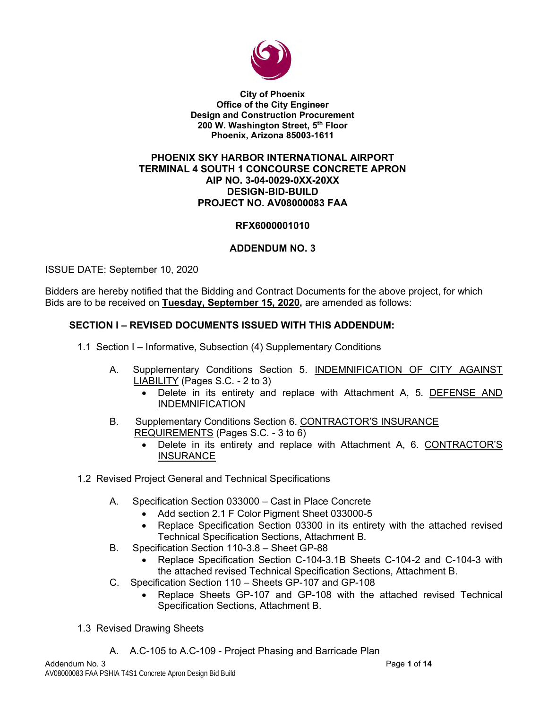

**City of Phoenix Office of the City Engineer Design and Construction Procurement 200 W. Washington Street, 5 th Floor Phoenix, Arizona 85003-1611**

### **PHOENIX SKY HARBOR INTERNATIONAL AIRPORT TERMINAL 4 SOUTH 1 CONCOURSE CONCRETE APRON AIP NO. 3-04-0029-0XX-20XX DESIGN-BID-BUILD PROJECT NO. AV08000083 FAA**

## **RFX6000001010**

## **ADDENDUM NO. 3**

ISSUE DATE: September 10, 2020

Bidders are hereby notified that the Bidding and Contract Documents for the above project, for which Bids are to be received on **Tuesday, September 15, 2020,** are amended as follows:

## **SECTION I – REVISED DOCUMENTS ISSUED WITH THIS ADDENDUM:**

- 1.1 Section I Informative, Subsection (4) Supplementary Conditions
	- A. Supplementary Conditions Section 5. INDEMNIFICATION OF CITY AGAINST LIABILITY (Pages S.C. - 2 to 3)
		- Delete in its entirety and replace with Attachment A, 5. DEFENSE AND INDEMNIFICATION
	- B. Supplementary Conditions Section 6. CONTRACTOR'S INSURANCE REQUIREMENTS (Pages S.C. - 3 to 6)
		- Delete in its entirety and replace with Attachment A, 6. CONTRACTOR'S **INSURANCE**
- 1.2 Revised Project General and Technical Specifications
	- A. Specification Section 033000 Cast in Place Concrete
		- Add section 2.1 F Color Pigment Sheet 033000-5
		- Replace Specification Section 03300 in its entirety with the attached revised Technical Specification Sections, Attachment B.
	- B. Specification Section 110-3.8 Sheet GP-88
		- Replace Specification Section C-104-3.1B Sheets C-104-2 and C-104-3 with the attached revised Technical Specification Sections, Attachment B.
	- C. Specification Section 110 Sheets GP-107 and GP-108
		- Replace Sheets GP-107 and GP-108 with the attached revised Technical Specification Sections, Attachment B.
- 1.3 Revised Drawing Sheets
	- A. A.C-105 to A.C-109 Project Phasing and Barricade Plan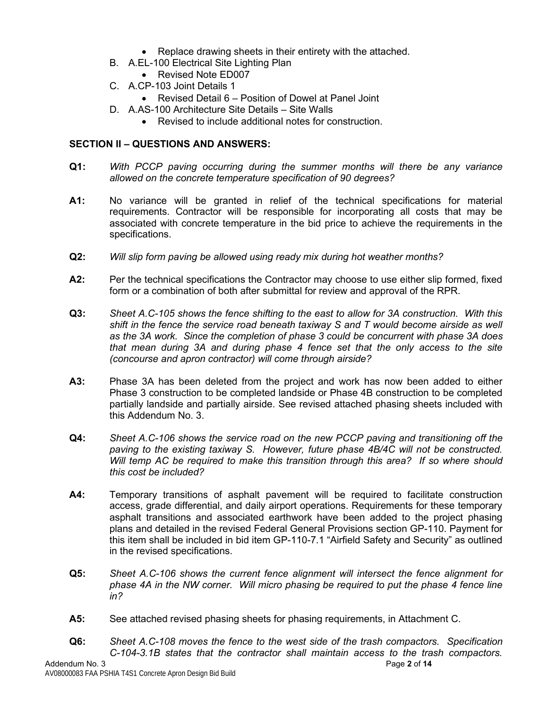- Replace drawing sheets in their entirety with the attached.
- B. A.EL-100 Electrical Site Lighting Plan
	- Revised Note ED007
- C. A.CP-103 Joint Details 1
	- Revised Detail 6 Position of Dowel at Panel Joint
- D. A.AS-100 Architecture Site Details Site Walls
	- Revised to include additional notes for construction

## **SECTION II – QUESTIONS AND ANSWERS:**

- **Q1:** *With PCCP paving occurring during the summer months will there be any variance allowed on the concrete temperature specification of 90 degrees?*
- **A1:** No variance will be granted in relief of the technical specifications for material requirements. Contractor will be responsible for incorporating all costs that may be associated with concrete temperature in the bid price to achieve the requirements in the specifications.
- **Q2:** *Will slip form paving be allowed using ready mix during hot weather months?*
- **A2:** Per the technical specifications the Contractor may choose to use either slip formed, fixed form or a combination of both after submittal for review and approval of the RPR.
- **Q3:** *Sheet A.C-105 shows the fence shifting to the east to allow for 3A construction. With this shift in the fence the service road beneath taxiway S and T would become airside as well as the 3A work. Since the completion of phase 3 could be concurrent with phase 3A does that mean during 3A and during phase 4 fence set that the only access to the site (concourse and apron contractor) will come through airside?*
- **A3:** Phase 3A has been deleted from the project and work has now been added to either Phase 3 construction to be completed landside or Phase 4B construction to be completed partially landside and partially airside. See revised attached phasing sheets included with this Addendum No. 3.
- **Q4:** *Sheet A.C-106 shows the service road on the new PCCP paving and transitioning off the paving to the existing taxiway S. However, future phase 4B/4C will not be constructed. Will temp AC be required to make this transition through this area? If so where should this cost be included?*
- **A4:** Temporary transitions of asphalt pavement will be required to facilitate construction access, grade differential, and daily airport operations. Requirements for these temporary asphalt transitions and associated earthwork have been added to the project phasing plans and detailed in the revised Federal General Provisions section GP-110. Payment for this item shall be included in bid item GP-110-7.1 "Airfield Safety and Security" as outlined in the revised specifications.
- **Q5:** *Sheet A.C-106 shows the current fence alignment will intersect the fence alignment for phase 4A in the NW corner. Will micro phasing be required to put the phase 4 fence line in?*
- **A5:** See attached revised phasing sheets for phasing requirements, in Attachment C.
- **Q6:** *Sheet A.C-108 moves the fence to the west side of the trash compactors. Specification C-104-3.1B states that the contractor shall maintain access to the trash compactors.*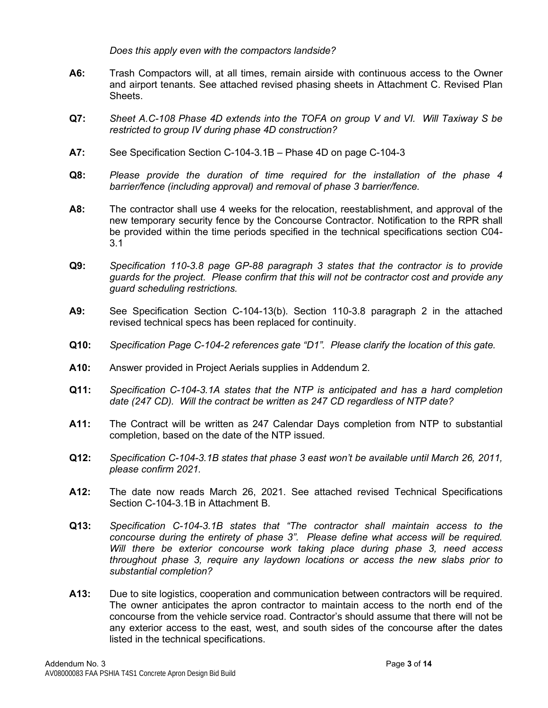*Does this apply even with the compactors landside?*

- **A6:** Trash Compactors will, at all times, remain airside with continuous access to the Owner and airport tenants. See attached revised phasing sheets in Attachment C. Revised Plan Sheets.
- **Q7:** *Sheet A.C-108 Phase 4D extends into the TOFA on group V and VI. Will Taxiway S be restricted to group IV during phase 4D construction?*
- **A7:** See Specification Section C-104-3.1B Phase 4D on page C-104-3
- **Q8:** *Please provide the duration of time required for the installation of the phase 4 barrier/fence (including approval) and removal of phase 3 barrier/fence.*
- **A8:** The contractor shall use 4 weeks for the relocation, reestablishment, and approval of the new temporary security fence by the Concourse Contractor. Notification to the RPR shall be provided within the time periods specified in the technical specifications section C04- 3.1
- **Q9:** *Specification 110-3.8 page GP-88 paragraph 3 states that the contractor is to provide guards for the project. Please confirm that this will not be contractor cost and provide any guard scheduling restrictions.*
- **A9:** See Specification Section C-104-13(b). Section 110-3.8 paragraph 2 in the attached revised technical specs has been replaced for continuity.
- **Q10:** *Specification Page C-104-2 references gate "D1". Please clarify the location of this gate.*
- **A10:** Answer provided in Project Aerials supplies in Addendum 2.
- **Q11:** *Specification C-104-3.1A states that the NTP is anticipated and has a hard completion date (247 CD). Will the contract be written as 247 CD regardless of NTP date?*
- **A11:** The Contract will be written as 247 Calendar Days completion from NTP to substantial completion, based on the date of the NTP issued.
- **Q12:** *Specification C-104-3.1B states that phase 3 east won't be available until March 26, 2011, please confirm 2021.*
- **A12:** The date now reads March 26, 2021. See attached revised Technical Specifications Section C-104-3.1B in Attachment B.
- **Q13:** *Specification C-104-3.1B states that "The contractor shall maintain access to the concourse during the entirety of phase 3". Please define what access will be required. Will there be exterior concourse work taking place during phase 3, need access throughout phase 3, require any laydown locations or access the new slabs prior to substantial completion?*
- **A13:** Due to site logistics, cooperation and communication between contractors will be required. The owner anticipates the apron contractor to maintain access to the north end of the concourse from the vehicle service road. Contractor's should assume that there will not be any exterior access to the east, west, and south sides of the concourse after the dates listed in the technical specifications.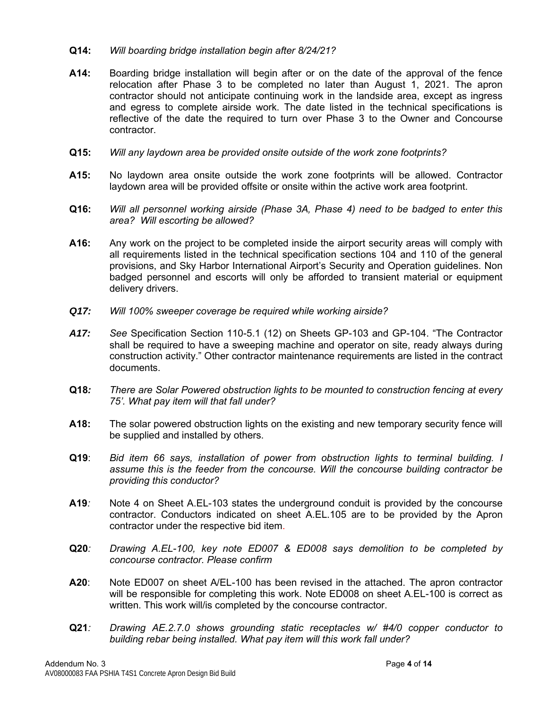### **Q14:** *Will boarding bridge installation begin after 8/24/21?*

- **A14:** Boarding bridge installation will begin after or on the date of the approval of the fence relocation after Phase 3 to be completed no later than August 1, 2021. The apron contractor should not anticipate continuing work in the landside area, except as ingress and egress to complete airside work. The date listed in the technical specifications is reflective of the date the required to turn over Phase 3 to the Owner and Concourse contractor.
- **Q15:** *Will any laydown area be provided onsite outside of the work zone footprints?*
- **A15:** No laydown area onsite outside the work zone footprints will be allowed. Contractor laydown area will be provided offsite or onsite within the active work area footprint.
- **Q16:** *Will all personnel working airside (Phase 3A, Phase 4) need to be badged to enter this area? Will escorting be allowed?*
- **A16:** Any work on the project to be completed inside the airport security areas will comply with all requirements listed in the technical specification sections 104 and 110 of the general provisions, and Sky Harbor International Airport's Security and Operation guidelines. Non badged personnel and escorts will only be afforded to transient material or equipment delivery drivers.
- *Q17: Will 100% sweeper coverage be required while working airside?*
- *A17: See* Specification Section 110-5.1 (12) on Sheets GP-103 and GP-104. "The Contractor shall be required to have a sweeping machine and operator on site, ready always during construction activity." Other contractor maintenance requirements are listed in the contract documents.
- **Q18***: There are Solar Powered obstruction lights to be mounted to construction fencing at every 75'. What pay item will that fall under?*
- **A18:** The solar powered obstruction lights on the existing and new temporary security fence will be supplied and installed by others.
- **Q19**: *Bid item 66 says, installation of power from obstruction lights to terminal building. I assume this is the feeder from the concourse. Will the concourse building contractor be providing this conductor?*
- **A19***:* Note 4 on Sheet A.EL-103 states the underground conduit is provided by the concourse contractor. Conductors indicated on sheet A.EL.105 are to be provided by the Apron contractor under the respective bid item.
- **Q20***: Drawing A.EL-100, key note ED007 & ED008 says demolition to be completed by concourse contractor. Please confirm*
- **A20**: Note ED007 on sheet A/EL-100 has been revised in the attached. The apron contractor will be responsible for completing this work. Note ED008 on sheet A.EL-100 is correct as written. This work will/is completed by the concourse contractor.
- **Q21***: Drawing AE.2.7.0 shows grounding static receptacles w/ #4/0 copper conductor to building rebar being installed. What pay item will this work fall under?*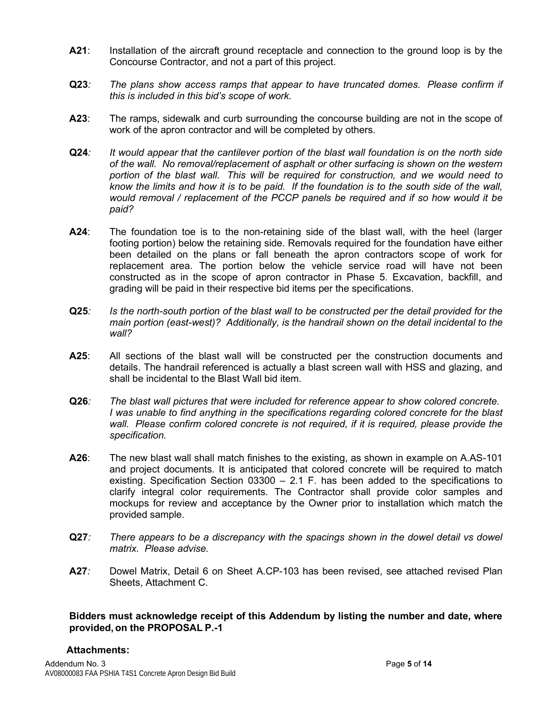- **A21**: Installation of the aircraft ground receptacle and connection to the ground loop is by the Concourse Contractor, and not a part of this project.
- **Q23***: The plans show access ramps that appear to have truncated domes. Please confirm if this is included in this bid's scope of work.*
- **A23**: The ramps, sidewalk and curb surrounding the concourse building are not in the scope of work of the apron contractor and will be completed by others.
- **Q24***: It would appear that the cantilever portion of the blast wall foundation is on the north side of the wall. No removal/replacement of asphalt or other surfacing is shown on the western portion of the blast wall. This will be required for construction, and we would need to know the limits and how it is to be paid. If the foundation is to the south side of the wall, would removal / replacement of the PCCP panels be required and if so how would it be paid?*
- **A24**: The foundation toe is to the non-retaining side of the blast wall, with the heel (larger footing portion) below the retaining side. Removals required for the foundation have either been detailed on the plans or fall beneath the apron contractors scope of work for replacement area. The portion below the vehicle service road will have not been constructed as in the scope of apron contractor in Phase 5. Excavation, backfill, and grading will be paid in their respective bid items per the specifications.
- **Q25***: Is the north-south portion of the blast wall to be constructed per the detail provided for the main portion (east-west)? Additionally, is the handrail shown on the detail incidental to the wall?*
- **A25**: All sections of the blast wall will be constructed per the construction documents and details. The handrail referenced is actually a blast screen wall with HSS and glazing, and shall be incidental to the Blast Wall bid item.
- **Q26***: The blast wall pictures that were included for reference appear to show colored concrete. I was unable to find anything in the specifications regarding colored concrete for the blast wall. Please confirm colored concrete is not required, if it is required, please provide the specification.*
- **A26**: The new blast wall shall match finishes to the existing, as shown in example on A.AS-101 and project documents. It is anticipated that colored concrete will be required to match existing. Specification Section  $03300 - 2.1$  F. has been added to the specifications to clarify integral color requirements. The Contractor shall provide color samples and mockups for review and acceptance by the Owner prior to installation which match the provided sample.
- **Q27***: There appears to be a discrepancy with the spacings shown in the dowel detail vs dowel matrix. Please advise.*
- **A27***:* Dowel Matrix, Detail 6 on Sheet A.CP-103 has been revised, see attached revised Plan Sheets, Attachment C.

### **Bidders must acknowledge receipt of this Addendum by listing the number and date, where provided, on the PROPOSAL P.-1**

#### **Attachments:**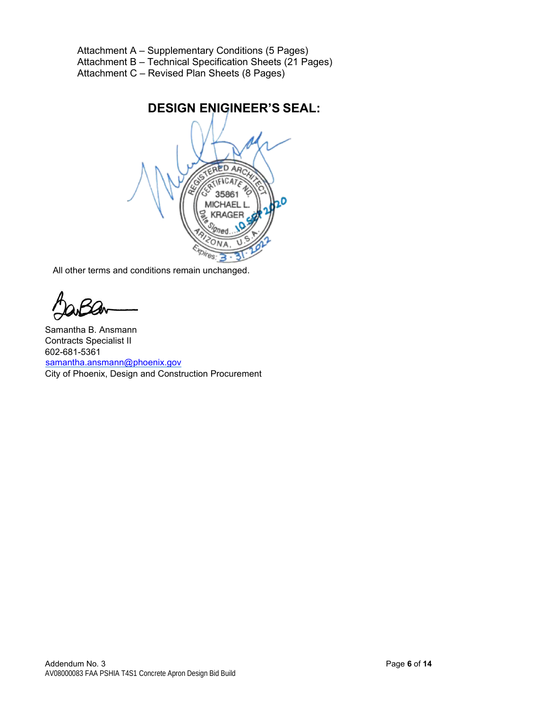Attachment A – Supplementary Conditions (5 Pages) Attachment B – Technical Specification Sheets (21 Pages) Attachment C – Revised Plan Sheets (8 Pages)

> **DESIGN ENIGINEER'S SEAL:** ERED AR

All other terms and conditions remain unchanged.

Samantha B. Ansmann Contracts Specialist II 602-681-5361 samantha.ansmann@phoenix.gov City of Phoenix, Design and Construction Procurement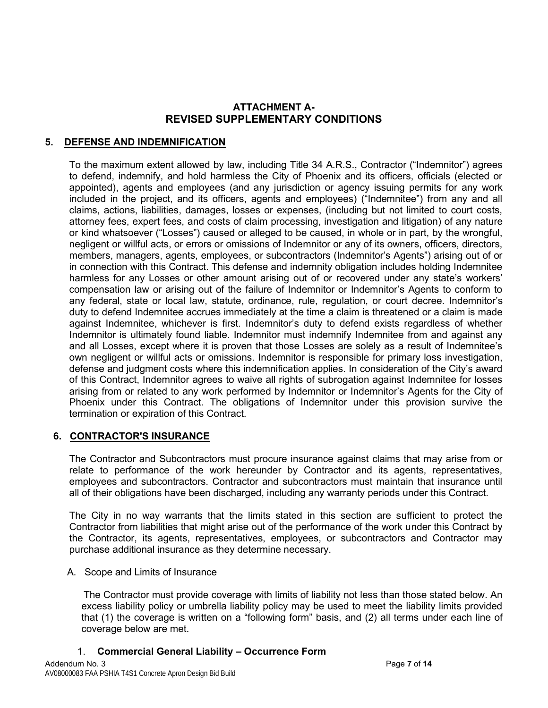## **ATTACHMENT A-REVISED SUPPLEMENTARY CONDITIONS**

## **5. DEFENSE AND INDEMNIFICATION**

To the maximum extent allowed by law, including Title 34 A.R.S., Contractor ("Indemnitor") agrees to defend, indemnify, and hold harmless the City of Phoenix and its officers, officials (elected or appointed), agents and employees (and any jurisdiction or agency issuing permits for any work included in the project, and its officers, agents and employees) ("Indemnitee") from any and all claims, actions, liabilities, damages, losses or expenses, (including but not limited to court costs, attorney fees, expert fees, and costs of claim processing, investigation and litigation) of any nature or kind whatsoever ("Losses") caused or alleged to be caused, in whole or in part, by the wrongful, negligent or willful acts, or errors or omissions of Indemnitor or any of its owners, officers, directors, members, managers, agents, employees, or subcontractors (Indemnitor's Agents") arising out of or in connection with this Contract. This defense and indemnity obligation includes holding Indemnitee harmless for any Losses or other amount arising out of or recovered under any state's workers' compensation law or arising out of the failure of Indemnitor or Indemnitor's Agents to conform to any federal, state or local law, statute, ordinance, rule, regulation, or court decree. Indemnitor's duty to defend Indemnitee accrues immediately at the time a claim is threatened or a claim is made against Indemnitee, whichever is first. Indemnitor's duty to defend exists regardless of whether Indemnitor is ultimately found liable. Indemnitor must indemnify Indemnitee from and against any and all Losses, except where it is proven that those Losses are solely as a result of Indemnitee's own negligent or willful acts or omissions. Indemnitor is responsible for primary loss investigation, defense and judgment costs where this indemnification applies. In consideration of the City's award of this Contract, Indemnitor agrees to waive all rights of subrogation against Indemnitee for losses arising from or related to any work performed by Indemnitor or Indemnitor's Agents for the City of Phoenix under this Contract. The obligations of Indemnitor under this provision survive the termination or expiration of this Contract.

### **6. CONTRACTOR'S INSURANCE**

The Contractor and Subcontractors must procure insurance against claims that may arise from or relate to performance of the work hereunder by Contractor and its agents, representatives, employees and subcontractors. Contractor and subcontractors must maintain that insurance until all of their obligations have been discharged, including any warranty periods under this Contract.

The City in no way warrants that the limits stated in this section are sufficient to protect the Contractor from liabilities that might arise out of the performance of the work under this Contract by the Contractor, its agents, representatives, employees, or subcontractors and Contractor may purchase additional insurance as they determine necessary.

#### A. Scope and Limits of Insurance

 The Contractor must provide coverage with limits of liability not less than those stated below. An excess liability policy or umbrella liability policy may be used to meet the liability limits provided that (1) the coverage is written on a "following form" basis, and (2) all terms under each line of coverage below are met.

### 1. **Commercial General Liability – Occurrence Form**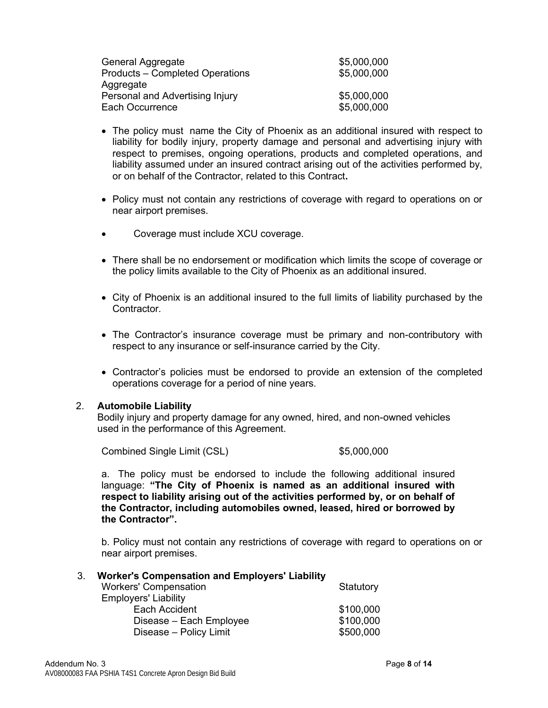| General Aggregate               | \$5,000,000 |
|---------------------------------|-------------|
| Products - Completed Operations | \$5,000,000 |
| Aggregate                       |             |
| Personal and Advertising Injury | \$5,000,000 |
| Each Occurrence                 | \$5,000,000 |

- The policy must name the City of Phoenix as an additional insured with respect to liability for bodily injury, property damage and personal and advertising injury with respect to premises, ongoing operations, products and completed operations, and liability assumed under an insured contract arising out of the activities performed by, or on behalf of the Contractor, related to this Contract**.**
- Policy must not contain any restrictions of coverage with regard to operations on or near airport premises.
- Coverage must include XCU coverage.
- There shall be no endorsement or modification which limits the scope of coverage or the policy limits available to the City of Phoenix as an additional insured.
- City of Phoenix is an additional insured to the full limits of liability purchased by the Contractor.
- The Contractor's insurance coverage must be primary and non-contributory with respect to any insurance or self-insurance carried by the City.
- Contractor's policies must be endorsed to provide an extension of the completed operations coverage for a period of nine years.

#### 2. **Automobile Liability**

Bodily injury and property damage for any owned, hired, and non-owned vehicles used in the performance of this Agreement.

Combined Single Limit (CSL) \$5,000,000

a. The policy must be endorsed to include the following additional insured language: **"The City of Phoenix is named as an additional insured with respect to liability arising out of the activities performed by, or on behalf of the Contractor, including automobiles owned, leased, hired or borrowed by the Contractor".**

b. Policy must not contain any restrictions of coverage with regard to operations on or near airport premises.

### 3. **Worker's Compensation and Employers' Liability**

| <b>Workers' Compensation</b> | Statutory |
|------------------------------|-----------|
| <b>Employers' Liability</b>  |           |
| Each Accident                | \$100,000 |
| Disease - Each Employee      | \$100,000 |
| Disease - Policy Limit       | \$500,000 |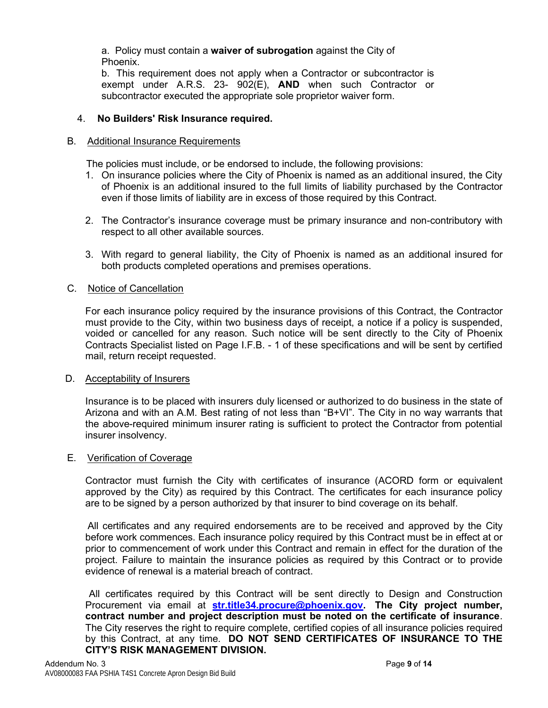a. Policy must contain a **waiver of subrogation** against the City of Phoenix.

b. This requirement does not apply when a Contractor or subcontractor is exempt under A.R.S. 23- 902(E), **AND** when such Contractor or subcontractor executed the appropriate sole proprietor waiver form.

## 4. **No Builders' Risk Insurance required.**

### B. Additional Insurance Requirements

The policies must include, or be endorsed to include, the following provisions:

- 1. On insurance policies where the City of Phoenix is named as an additional insured, the City of Phoenix is an additional insured to the full limits of liability purchased by the Contractor even if those limits of liability are in excess of those required by this Contract.
- 2. The Contractor's insurance coverage must be primary insurance and non-contributory with respect to all other available sources.
- 3. With regard to general liability, the City of Phoenix is named as an additional insured for both products completed operations and premises operations.

### C. Notice of Cancellation

For each insurance policy required by the insurance provisions of this Contract, the Contractor must provide to the City, within two business days of receipt, a notice if a policy is suspended, voided or cancelled for any reason. Such notice will be sent directly to the City of Phoenix Contracts Specialist listed on Page I.F.B. - 1 of these specifications and will be sent by certified mail, return receipt requested.

#### D. Acceptability of Insurers

Insurance is to be placed with insurers duly licensed or authorized to do business in the state of Arizona and with an A.M. Best rating of not less than "B+VI". The City in no way warrants that the above-required minimum insurer rating is sufficient to protect the Contractor from potential insurer insolvency.

#### E. Verification of Coverage

Contractor must furnish the City with certificates of insurance (ACORD form or equivalent approved by the City) as required by this Contract. The certificates for each insurance policy are to be signed by a person authorized by that insurer to bind coverage on its behalf.

 All certificates and any required endorsements are to be received and approved by the City before work commences. Each insurance policy required by this Contract must be in effect at or prior to commencement of work under this Contract and remain in effect for the duration of the project. Failure to maintain the insurance policies as required by this Contract or to provide evidence of renewal is a material breach of contract.

 All certificates required by this Contract will be sent directly to Design and Construction Procurement via email at **[str.title34.procure@phoenix.gov.](mailto:str.title34.procure@phoenix.gov) The City project number, contract number and project description must be noted on the certificate of insurance**. The City reserves the right to require complete, certified copies of all insurance policies required by this Contract, at any time. **DO NOT SEND CERTIFICATES OF INSURANCE TO THE CITY'S RISK MANAGEMENT DIVISION.**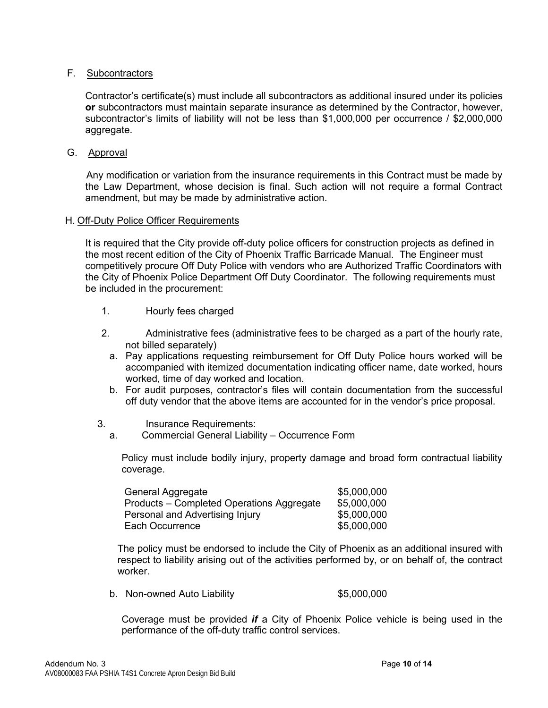### F. Subcontractors

Contractor's certificate(s) must include all subcontractors as additional insured under its policies **or** subcontractors must maintain separate insurance as determined by the Contractor, however, subcontractor's limits of liability will not be less than \$1,000,000 per occurrence / \$2,000,000 aggregate.

G. Approval

 Any modification or variation from the insurance requirements in this Contract must be made by the Law Department, whose decision is final. Such action will not require a formal Contract amendment, but may be made by administrative action.

#### H. Off-Duty Police Officer Requirements

It is required that the City provide off-duty police officers for construction projects as defined in the most recent edition of the City of Phoenix Traffic Barricade Manual. The Engineer must competitively procure Off Duty Police with vendors who are Authorized Traffic Coordinators with the City of Phoenix Police Department Off Duty Coordinator. The following requirements must be included in the procurement:

- 1. Hourly fees charged
- 2. Administrative fees (administrative fees to be charged as a part of the hourly rate, not billed separately)
	- a. Pay applications requesting reimbursement for Off Duty Police hours worked will be accompanied with itemized documentation indicating officer name, date worked, hours worked, time of day worked and location.
	- b. For audit purposes, contractor's files will contain documentation from the successful off duty vendor that the above items are accounted for in the vendor's price proposal.
- 3. Insurance Requirements:
	- a. Commercial General Liability Occurrence Form

Policy must include bodily injury, property damage and broad form contractual liability coverage.

| General Aggregate                         | \$5,000,000 |
|-------------------------------------------|-------------|
| Products – Completed Operations Aggregate | \$5,000,000 |
| Personal and Advertising Injury           | \$5,000,000 |
| Each Occurrence                           | \$5,000,000 |

The policy must be endorsed to include the City of Phoenix as an additional insured with respect to liability arising out of the activities performed by, or on behalf of, the contract worker.

b. Non-owned Auto Liability  $$5,000,000$ 

Coverage must be provided *if* a City of Phoenix Police vehicle is being used in the performance of the off-duty traffic control services.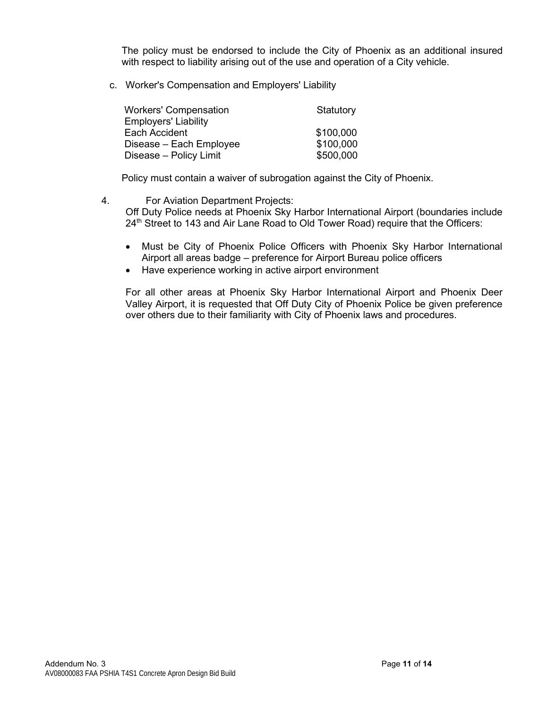The policy must be endorsed to include the City of Phoenix as an additional insured with respect to liability arising out of the use and operation of a City vehicle.

c. Worker's Compensation and Employers' Liability

| <b>Workers' Compensation</b> | Statutory |
|------------------------------|-----------|
| <b>Employers' Liability</b>  |           |
| Each Accident                | \$100,000 |
| Disease – Each Employee      | \$100,000 |
| Disease - Policy Limit       | \$500,000 |

Policy must contain a waiver of subrogation against the City of Phoenix.

- 4. For Aviation Department Projects: Off Duty Police needs at Phoenix Sky Harbor International Airport (boundaries include 24<sup>th</sup> Street to 143 and Air Lane Road to Old Tower Road) require that the Officers:
	- Must be City of Phoenix Police Officers with Phoenix Sky Harbor International Airport all areas badge – preference for Airport Bureau police officers
	- Have experience working in active airport environment

For all other areas at Phoenix Sky Harbor International Airport and Phoenix Deer Valley Airport, it is requested that Off Duty City of Phoenix Police be given preference over others due to their familiarity with City of Phoenix laws and procedures.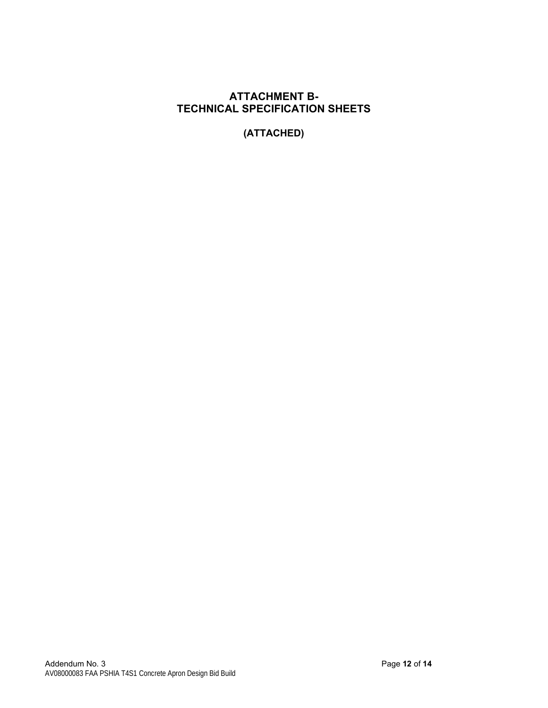## **ATTACHMENT B-TECHNICAL SPECIFICATION SHEETS**

**(ATTACHED)**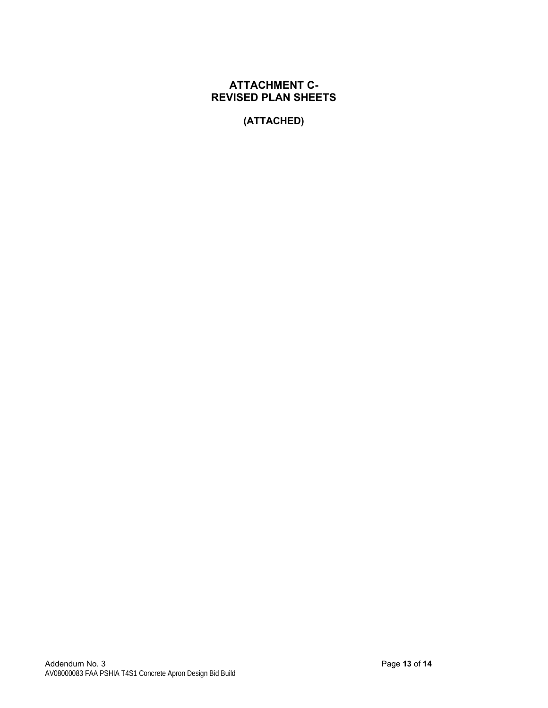# **ATTACHMENT C-REVISED PLAN SHEETS**

**(ATTACHED)**